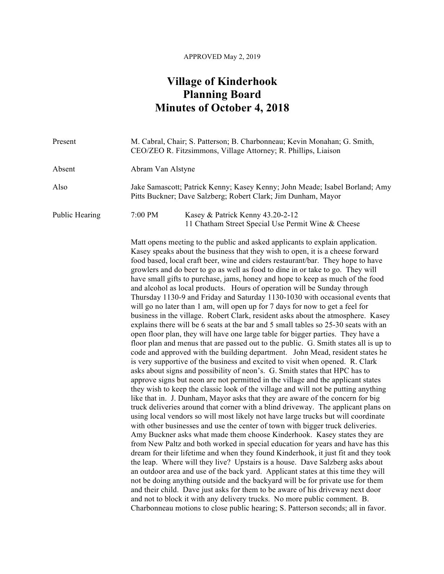## APPROVED May 2, 2019

## **Village of Kinderhook Planning Board Minutes of October 4, 2018**

| Present        | M. Cabral, Chair; S. Patterson; B. Charbonneau; Kevin Monahan; G. Smith,<br>CEO/ZEO R. Fitzsimmons, Village Attorney; R. Phillips, Liaison                                                                                                                                                                                                                                                                                                                                                                                                                                                                                                                                                                                                                                                                                                                                                                                                                                                                                                                                                                                                                                                                                                                                                                                                                                                                                                                                                                                                                                                                                                                                                                                                                                                                                                                                                                                                                                                                                                                                                                                                                                                                                                                                                                                                                                                                                                                                                                                                                          |
|----------------|---------------------------------------------------------------------------------------------------------------------------------------------------------------------------------------------------------------------------------------------------------------------------------------------------------------------------------------------------------------------------------------------------------------------------------------------------------------------------------------------------------------------------------------------------------------------------------------------------------------------------------------------------------------------------------------------------------------------------------------------------------------------------------------------------------------------------------------------------------------------------------------------------------------------------------------------------------------------------------------------------------------------------------------------------------------------------------------------------------------------------------------------------------------------------------------------------------------------------------------------------------------------------------------------------------------------------------------------------------------------------------------------------------------------------------------------------------------------------------------------------------------------------------------------------------------------------------------------------------------------------------------------------------------------------------------------------------------------------------------------------------------------------------------------------------------------------------------------------------------------------------------------------------------------------------------------------------------------------------------------------------------------------------------------------------------------------------------------------------------------------------------------------------------------------------------------------------------------------------------------------------------------------------------------------------------------------------------------------------------------------------------------------------------------------------------------------------------------------------------------------------------------------------------------------------------------|
| Absent         | Abram Van Alstyne                                                                                                                                                                                                                                                                                                                                                                                                                                                                                                                                                                                                                                                                                                                                                                                                                                                                                                                                                                                                                                                                                                                                                                                                                                                                                                                                                                                                                                                                                                                                                                                                                                                                                                                                                                                                                                                                                                                                                                                                                                                                                                                                                                                                                                                                                                                                                                                                                                                                                                                                                   |
| Also           | Jake Samascott; Patrick Kenny; Kasey Kenny; John Meade; Isabel Borland; Amy<br>Pitts Buckner; Dave Salzberg; Robert Clark; Jim Dunham, Mayor                                                                                                                                                                                                                                                                                                                                                                                                                                                                                                                                                                                                                                                                                                                                                                                                                                                                                                                                                                                                                                                                                                                                                                                                                                                                                                                                                                                                                                                                                                                                                                                                                                                                                                                                                                                                                                                                                                                                                                                                                                                                                                                                                                                                                                                                                                                                                                                                                        |
| Public Hearing | 7:00 PM<br>Kasey & Patrick Kenny 43.20-2-12<br>11 Chatham Street Special Use Permit Wine & Cheese                                                                                                                                                                                                                                                                                                                                                                                                                                                                                                                                                                                                                                                                                                                                                                                                                                                                                                                                                                                                                                                                                                                                                                                                                                                                                                                                                                                                                                                                                                                                                                                                                                                                                                                                                                                                                                                                                                                                                                                                                                                                                                                                                                                                                                                                                                                                                                                                                                                                   |
|                | Matt opens meeting to the public and asked applicants to explain application.<br>Kasey speaks about the business that they wish to open, it is a cheese forward<br>food based, local craft beer, wine and ciders restaurant/bar. They hope to have<br>growlers and do beer to go as well as food to dine in or take to go. They will<br>have small gifts to purchase, jams, honey and hope to keep as much of the food<br>and alcohol as local products. Hours of operation will be Sunday through<br>Thursday 1130-9 and Friday and Saturday 1130-1030 with occasional events that<br>will go no later than 1 am, will open up for 7 days for now to get a feel for<br>business in the village. Robert Clark, resident asks about the atmosphere. Kasey<br>explains there will be 6 seats at the bar and 5 small tables so 25-30 seats with an<br>open floor plan, they will have one large table for bigger parties. They have a<br>floor plan and menus that are passed out to the public. G. Smith states all is up to<br>code and approved with the building department. John Mead, resident states he<br>is very supportive of the business and excited to visit when opened. R. Clark<br>asks about signs and possibility of neon's. G. Smith states that HPC has to<br>approve signs but neon are not permitted in the village and the applicant states<br>they wish to keep the classic look of the village and will not be putting anything<br>like that in. J. Dunham, Mayor asks that they are aware of the concern for big<br>truck deliveries around that corner with a blind driveway. The applicant plans on<br>using local vendors so will most likely not have large trucks but will coordinate<br>with other businesses and use the center of town with bigger truck deliveries.<br>Amy Buckner asks what made them choose Kinderhook. Kasey states they are<br>from New Paltz and both worked in special education for years and have has this<br>dream for their lifetime and when they found Kinderhook, it just fit and they took<br>the leap. Where will they live? Upstairs is a house. Dave Salzberg asks about<br>an outdoor area and use of the back yard. Applicant states at this time they will<br>not be doing anything outside and the backyard will be for private use for them<br>and their child. Dave just asks for them to be aware of his driveway next door<br>and not to block it with any delivery trucks. No more public comment. B.<br>Charbonneau motions to close public hearing; S. Patterson seconds; all in favor. |